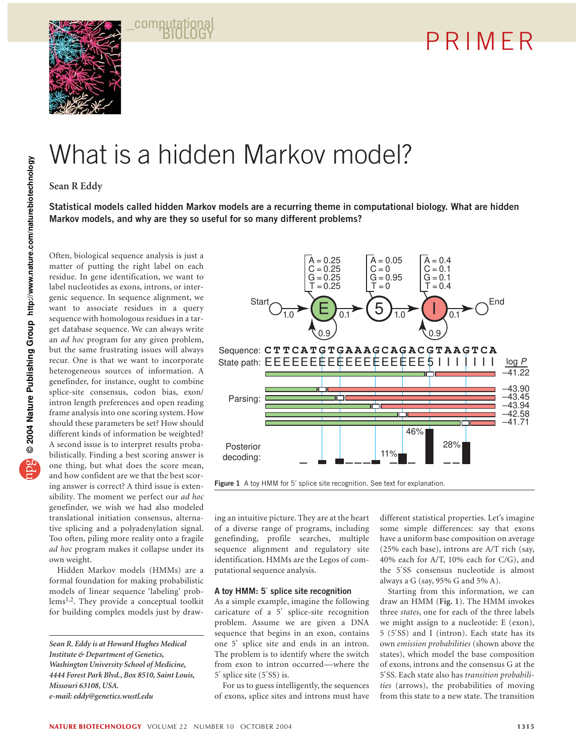

comput

# What is a hidden Markov model?

### **Sean R Eddy**

**Statistical models called hidden Markov models are a recurring theme in computational biology. What are hidden Markov models, and why are they so useful for so many different problems?**

Often, biological sequence analysis is just a matter of putting the right label on each residue. In gene identification, we want to label nucleotides as exons, introns, or intergenic sequence. In sequence alignment, we want to associate residues in a query sequence with homologous residues in a target database sequence. We can always write an *ad hoc* program for any given problem, but the same frustrating issues will always recur. One is that we want to incorporate heterogeneous sources of information. A genefinder, for instance, ought to combine splice-site consensus, codon bias, exon/ intron length preferences and open reading frame analysis into one scoring system. How should these parameters be set? How should different kinds of information be weighted? A second issue is to interpret results probabilistically. Finding a best scoring answer is one thing, but what does the score mean, and how confident are we that the best scoring answer is correct? A third issue is extensibility. The moment we perfect our *ad hoc* genefinder, we wish we had also modeled translational initiation consensus, alternative splicing and a polyadenylation signal. Too often, piling more reality onto a fragile *ad hoc* program makes it collapse under its own weight.

Hidden Markov models (HMMs) are a formal foundation for making probabilistic models of linear sequence 'labeling' problems1,2. They provide a conceptual toolkit for building complex models just by draw-



Figure 1 A toy HMM for 5' splice site recognition. See text for explanation.

ing an intuitive picture. They are at the heart of a diverse range of programs, including genefinding, profile searches, multiple sequence alignment and regulatory site identification. HMMs are the Legos of computational sequence analysis.

#### **A toy HMM: 5**′ **splice site recognition**

As a simple example, imagine the following caricature of a 5′ splice-site recognition problem. Assume we are given a DNA sequence that begins in an exon, contains one 5′ splice site and ends in an intron. The problem is to identify where the switch from exon to intron occurred—where the 5′ splice site (5′SS) is.

For us to guess intelligently, the sequences of exons, splice sites and introns must have different statistical properties. Let's imagine some simple differences: say that exons have a uniform base composition on average (25% each base), introns are A/T rich (say, 40% each for A/T, 10% each for C/G), and the 5′SS consensus nucleotide is almost always a G (say, 95% G and 5% A).

Starting from this information, we can draw an HMM (**Fig. 1**). The HMM invokes three *states*, one for each of the three labels we might assign to a nucleotide: E (exon), 5 (5′SS) and I (intron). Each state has its own *emission probabilities* (shown above the states), which model the base composition of exons, introns and the consensus G at the 5′SS. Each state also has *transition probabilities* (arrows), the probabilities of moving from this state to a new state. The transition

*Sean R. Eddy is at Howard Hughes Medical Institute & Department of Genetics, Washington University School of Medicine, 4444 Forest Park Blvd., Box 8510, Saint Louis, Missouri 63108, USA. e-mail: eddy@genetics.wustl.edu*